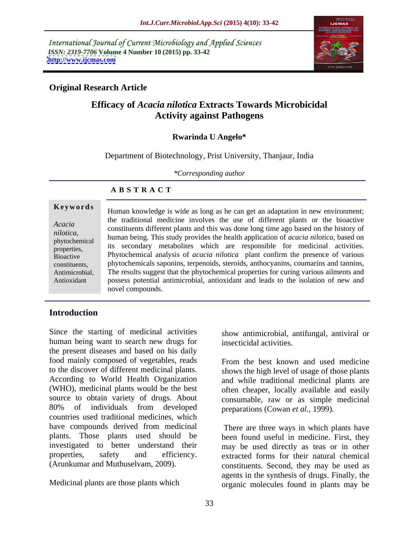International Journal of Current Microbiology and Applied Sciences *ISSN: 2319-7706* **Volume 4 Number 10 (2015) pp. 33-42 <http://www.ijcmas.com>**



# **Original Research Article**

# **Efficacy of** *Acacia nilotica* **Extracts Towards Microbicidal Activity against Pathogens**

## **Rwarinda U Angelo\***

Department of Biotechnology, Prist University, Thanjaur, India

*\*Corresponding author*

# **A B S T R A C T**

Antioxidant

**Keywords** Human knowledge is wide as long as he can get an adaptation in new environment; the traditional medicine involves the use of different plants or the bioactive Acacia<br>
constituents different plants and this was done long time ago based on the history of human being. This study provides the health application of *acacia nilotica*, based on *nilotica*, phytochemical itunian being. This study provides the health application of activity metabolic its secondary metabolites which are responsible for medicinal activities. Phytochemical analysis of *acacia nilotica* plant confirm the presence of various constituents, phytochemicals saponins, terpenoids, steroids, anthocyanins, coumarins and tannins, The results suggest that the phytochemical properties for curing various ailments and Antimicrobial, possess potential antimicrobial, antioxidant and leads to the isolation of new and novel compounds. properties, its secondary metabolities which are responsible for medicinal activities.

# **Introduction**

Since the starting of medicinal activities show antimicrobial, antifungal, antiviral or human being want to search new drugs for the present diseases and based on his daily food mainly composed of vegetables, reads From the best known and used medicine to the discover of different medicinal plants. According to World Health Organization and while traditional medicinal plants are (WHO), medicinal plants would be the best often cheaper, locally available and easily source to obtain variety of drugs. About consumable, raw or as simple medicinal 80% of individuals from developed preparations (Cowan *et al.*, 1999). countries used traditional medicines, which have compounds derived from medicinal There are three ways in which plants have plants. Those plants used should be been found useful in medicine. First, they investigated to better understand their may be used directly as teas or in other properties, safety and efficiency. extracted forms for their natural chemical

insecticidal activities.

shows the high level of usage of those plants preparations (Cowan *et al.,* 1999).

(Arunkumar and Muthuselvam, 2009). constituents. Second, they may be used as Medicinal plants are those plants which organic molecules found in plants may be There are three ways in which plants have agents in the synthesis of drugs. Finally, the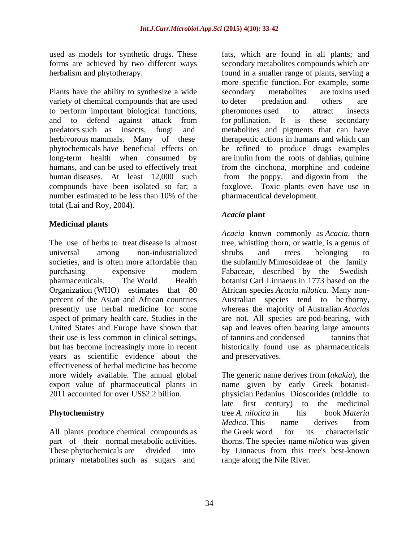used as models for synthetic drugs. These

Plants have the ability to synthesize a wide secondary metabolites are toxins used variety of chemical compounds that are used to deter predation and others are to perform important biological functions, and to defend against attack from for pollination. It is these secondary predators such as insects, fungi and metabolites and pigments that can have herbivorous mammals. Many of these therapeutic actions in humans and which can phytochemicals have beneficial effects on be refined to produce drugs examples long-term health when consumed by humans, and can be used to effectively treat from the cinchona, morphine and codeine human diseases. At least 12,000 such from the poppy, and digoxin from the compounds have been isolated so far; a foxglove. Toxic plants even have use in number estimated to be less than 10% of the pharmaceutical development. total (Lai and Roy, 2004).

# **Medicinal plants**

The use of herbs to treat disease is almost tree, whistling thorn, or wattle, is a genus of universal among non-industrialized societies, and is often more affordable than the subfamily Mimosoideae of the family purchasing expensive modern Fabaceae, described by the Swedish pharmaceuticals. The World Health botanist Carl Linnaeus in 1773 based on the Organization (WHO) estimates that 80 percent of the Asian and African countries a Australian species tend to be thorny. presently use herbal medicine for some whereas the majority of Australian Acacias aspect of primary health care. Studies in the are not. All species are pod-bearing, with United States and Europe have shown that sap and leaves often bearing large amounts their use is less common in clinical settings, but has become increasingly more in recent historically found use as pharmaceuticals years as scientific evidence about the effectiveness of herbal medicine has become more widely available. The annual global export value of pharmaceutical plants in

All plants produce chemical compounds as the Greek word for its characteristic primary metabolites such as sugars and

forms are achieved by two different ways secondary metabolites compounds which are herbalism and phytotherapy. found in a smaller range of plants, serving a fats, which are found in all plants; and more specific function. For example, some secondary metabolites are toxins used to deter predation and others are pheromones used to attract insects for pollination. It is these secondary are inulin from the roots of dahlias, quinine pharmaceutical development.

# *Acacia* **plant**

*Acacia* known commonly as *Acacia*, thorn shrubs and trees belonging to African species *Acacia nilotica*. Many non- Australian species tend to be thorny, whereas the majority of Australian *Acacia*<sup>s</sup> of tannins and condensed tannins that and preservatives.

2011 accounted for over US\$2.2 billion. physician Pedanius Dioscorides (middle to **Phytochemistry Example 2018 Phytochemistry Phytochemistry Phytochemistry Phytochemistry Phytochemistry Phytochemistry Phytochemistry Phytochemistry Phytochemistry Phytochemistry Phytochemistry Ph** part of their normal metabolic activities. thorns. The species name *nilotica* was given These phytochemicals are divided into by Linnaeus from this tree's best-known The generic name derives from (*akakia*), the name given by early Greek botanist late first century) to the medicinal tree *A. nilotica* in his book *Materia Medica*. This name derives from the Greek word for its characteristic range along the Nile River.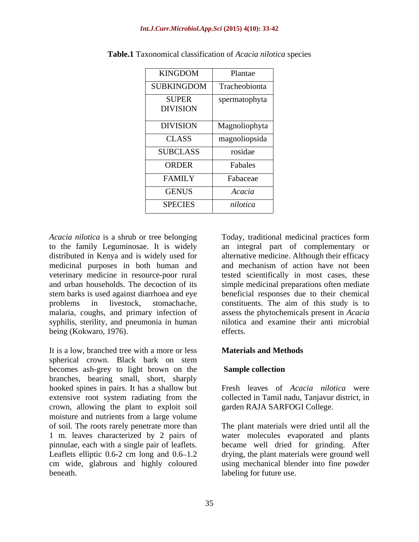### *Int.J.Curr.Microbiol.App.Sci* **(2015) 4(10): 33-42**

| KINGDOM         | Plantae       |
|-----------------|---------------|
| SUBKINGDOM      | Tracheobionta |
| <b>SUPER</b>    | spermatophyta |
| <b>DIVISION</b> |               |
| <b>DIVISION</b> | Magnoliophyta |
| CLASS           | magnoliopsida |
| SUBCLASS        | rosidae       |
| ORDER           | Fabales       |
| <b>FAMILY</b>   | Fabaceae      |
| <b>GENUS</b>    | Acacia        |
| <b>SPECIES</b>  | nilotica      |

**Table.1** Taxonomical classification of *Acacia nilotica* species

*Acacia nilotica* is a shrub or tree belonging Today, traditional medicinal practices form to the family Leguminosae. It is widely an integral part of complementary or distributed in Kenya and is widely used for alternative medicine. Although their efficacy medicinal purposes in both human and veterinary medicine in resource-poor rural tested scientifically in most cases, these and urban households. The decoction of its simple medicinal preparations often mediate stem barks is used against diarrhoea and eye beneficial responses due to their chemical problems in livestock, stomachache, constituents. The aim of this study is to malaria, coughs, and primary infection of syphilis, sterility, and pneumonia in human being (Kokwaro, 1976). effects.

It is a low, branched tree with a more or less spherical crown. Black bark on stem becomes ash-grey to light brown on the **Sample collection** branches, bearing small, short, sharply hooked spines in pairs. It has a shallow but extensive root system radiating from the crown, allowing the plant to exploit soil moisture and nutrients from a large volume of soil. The roots rarely penetrate more than Leaflets elliptic  $0.6-2$  cm long and  $0.6-1.2$ cm wide, glabrous and highly coloured

and mechanism of action have not been assess the phytochemicals present in *Acacia* nilotica and examine their anti microbial effects.

## **Materials and Methods**

## **Sample collection**

Fresh leaves of *Acacia nilotica* were collected in Tamil nadu, Tanjavur district, in garden RAJA SARFOGI College.

1 m. leaves characterized by 2 pairs of water molecules evaporated and plants pinnulae, each with a single pair of leaflets. became well dried for grinding. After beneath. Iabeling for future use. The plant materials were dried until all the drying, the plant materials were ground well using mechanical blender into fine powder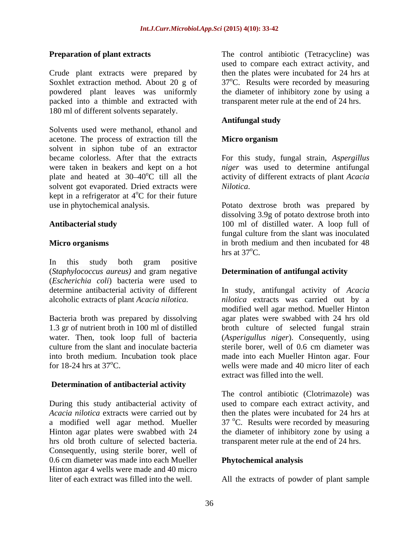Crude plant extracts were prepared by Soxhlet extraction method. About 20 g of  $37^{\circ}$ C. Results were recorded by measuring powdered plant leaves was uniformly the diameter of inhibitory zone by using a packed into a thimble and extracted with 180 ml of different solvents separately.

Solvents used were methanol, ethanol and acetone. The process of extraction till the solvent in siphon tube of an extractor became colorless. After that the extracts For this study, fungal strain, *Aspergillus*  were taken in beakers and kept on a hot *niger* was used to determine antifungal plate and heated at  $30-40^{\circ}$ C till all the solvent got evaporated. Dried extracts were *Nilotica*. kept in a refrigerator at 4<sup>o</sup>C for their future  $\rm{^{\circ}C}$  for their future

In this study both gram positive (*Staphylococcus aureus)* and gram negative (*Escherichia coli*) bacteria were used to

Bacteria broth was prepared by dissolving 1.3 gr of nutrient broth in 100 ml of distilled culture from the slant and inoculate bacteria sterile borer, well of 0.6 cm diameter was into broth medium. Incubation took place

## **Determination of antibacterial activity**

During this study antibacterial activity of *Acacia nilotica* extracts were carried out by then the plates were incubated for 24 hrs at a modified well agar method. Mueller  $37 \text{ °C}$ . Results were recorded by measuring Hinton agar plates were swabbed with 24 the diameter of inhibitory zone by using a hrs old broth culture of selected bacteria. transparent meter rule at the end of 24 hrs. Consequently, using sterile borer, well of 0.6 cm diameter was made into each Mueller Hinton agar 4 wells were made and 40 micro<br>liter of each extract was filled into the well. liter of each extract was filled into the well. All the extracts of powder of plant sample

**Preparation of plant extracts** The control antibiotic (Tetracycline) was used to compare each extract activity, and then the plates were incubated for 24 hrs at transparent meter rule at the end of 24 hrs.

## **Antifungal study**

## **Micro organism**

activity of different extracts of plant *Acacia Nilotica*.

use in phytochemical analysis. Potato dextrose broth was prepared by **Antibacterial study** 100 ml of distilled water. A loop full of **Micro organisms** in broth medium and then incubated for 48 dissolving 3.9g of potato dextrose broth into fungal culture from the slant was inoculated in broth medium and then incubated for 48 hrs at  $37^{\circ}$ C.

## **Determination of antifungal activity**

determine antibacterial activity of different In study, antifungal activity of *Acacia* alcoholic extracts of plant *Acacia nilotica. nilotica* extracts was carried out by a 1.3 gr of nutrient broth in 100 ml of distilled broth culture of selected fungal strain water. Then, took loop full of bacteria (*Asperigullus niger*). Consequently, using for 18-24 hrs at 37<sup>o</sup>C. wells were made and 40 micro liter of each modified well agar method. Mueller Hinton agar plates were swabbed with 24 hrs old sterile borer, well of 0.6 cm diameter was made into each Mueller Hinton agar. Four extract was filled into the well.

> The control antibiotic (Clotrimazole) was used to compare each extract activity, and

## **Phytochemical analysis**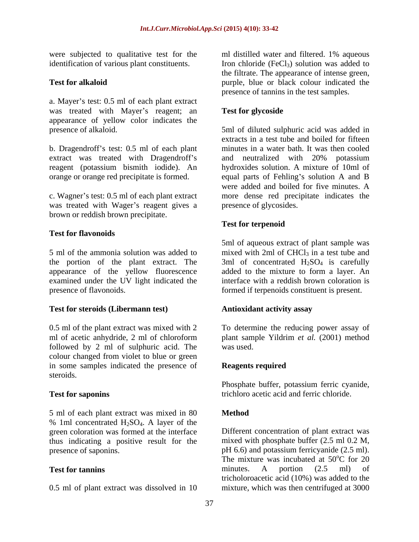a. Mayer's test: 0.5 ml of each plant extract was treated with Mayer's reagent; an **Test for glycoside** appearance of yellow color indicates the

b. Dragendroff's test: 0.5 ml of each plant extract was treated with Dragendroff's and neutralized with 20% potassium

was treated with Wager's reagent gives a brown or reddish brown precipitate.

# **Test for flavonoids**

5 ml of the ammonia solution was added to  $\qquad$  mixed with 2ml of CHCl<sub>3</sub> in a test tube and the portion of the plant extract. The  $\overline{3}$ ml of concentrated  $H_2SO_4$  is carefully appearance of the yellow fluorescence added to the mixture to form a layer. An examined under the UV light indicated the presence of flavonoids. formed if terpenoids constituent is present.

## **Test for steroids (Libermann test)**

0.5 ml of the plant extract was mixed with 2 To determine the reducing power assay of ml of acetic anhydride, 2 ml of chloroform plant sample Yildrim *et al.* (2001) method followed by 2 ml of sulphuric acid. The colour changed from violet to blue or green in some samples indicated the presence of **Reagents required** steroids.

5 ml of each plant extract was mixed in 80 % 1ml concentrated  $H_2SO_4$ . A layer of the green coloration was formed at the interface thus indicating a positive result for the

0.5 ml of plant extract was dissolved in 10

were subjected to qualitative test for the ml distilled water and filtered. 1% aqueous identification of various plant constituents. Iron chloride (FeCl<sub>3</sub>) solution was added to **Test for alkaloid purple**, blue or black colour indicated the the filtrate. The appearance of intense green, presence of tannins in the test samples.

# **Test for glycoside**

presence of alkaloid. 5ml of diluted sulphuric acid was added in reagent (potassium bismith iodide). An hydroxides solution. A mixture of 10ml of orange or orange red precipitate is formed. equal parts of Fehling's solution A and B c. Wagner's test: 0.5 ml of each plant extract more dense red precipitate indicates the extracts in a test tube and boiled for fifteen minutes in a water bath. It was then cooled and neutralized with 20% potassium were added and boiled for five minutes. A presence of glycosides.

# **Test for terpenoid**

5ml of aqueous extract of plant sample was interface with a reddish brown coloration is

## **Antioxidant activity assay**

was used.

## **Reagents required**

**Test for saponins** trichloro acetic acid and ferric chloride. Phosphate buffer, potassium ferric cyanide,

# **Method**

green coloration was formed at the interface Different concentration of plant extract was presence of saponins.<br>
per 6.6) and potassium ferricyanide (2.5 ml).<br>
The mixture was incubated at 50°C for 20 **Test for tannins** minutes. A portion  $(2.5 \text{ ml})$  of mixed with phosphate buffer (2.5 ml 0.2 M, pH 6.6) and potassium ferricyanide (2.5 ml).<br>The mixture was incubated at  $50^{\circ}$ C for 20  $^{\circ}$ C for 20 minutes. A portion (2.5 ml) of tricholoroacetic acid (10%) was added to the mixture, which was then centrifuged at 3000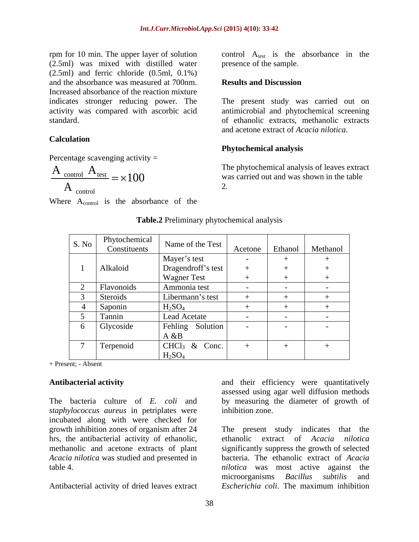rpm for 10 min. The upper layer of solution control  $A_{test}$  is the absorbance in the (2.5ml) was mixed with distilled water (2.5ml) and ferric chloride (0.5ml, 0.1%) and the absorbance was measured at 700nm. Increased absorbance of the reaction mixture activity was compared with ascorbic acid

### **Calculation**

Percentage scavenging activity  $=$ 

$$
\frac{A_{\text{control}}}{A} = \times 100
$$

Where A<sub>control</sub> is the absorbance of the

presence of the sample.

### **Results and Discussion**

indicates stronger reducing power. The The present study was carried out on standard. of ethanolic extracts, methanolic extracts antimicrobial and phytochemical screening and acetone extract of *Acacia nilotica*.

### **Phytochemical analysis**

 $\frac{\text{control}}{\text{Test}} = \times 100$  was carried out and was shown in the table control control control control control control control control control control control control control control control control control control control control control control control control control control control contro  $A_{\text{control}}$   $A_{\text{test}}$   $A_{\text{test}}$   $A_{\text{test}}$   $A_{\text{test}}$   $A_{\text{test}}$  and  $A_{\text{test}}$  and  $A_{\text{test}}$  is the table  $A_{\text{control}}$  2. The phytochemical analysis of leaves extract 2.

|                | No Phytochemical Name of the Test Acetone Ethanol Methanol |               |                          |
|----------------|------------------------------------------------------------|---------------|--------------------------|
|                | Mayer's test                                               |               |                          |
| Alkaloid       | Dragendroff's test                                         |               |                          |
|                | <b>Wagner Test</b>                                         |               |                          |
| Flavonoids     | Ammonia test                                               |               |                          |
| Steroids       | Libermann's test                                           |               |                          |
| <b>Saponin</b> | H <sub>2</sub> SO <sub>4</sub>                             |               |                          |
| Tannin         | Lead Acetate                                               |               |                          |
| Glycoside      | Fehling Solution                                           | $\sim$ $\sim$ |                          |
|                | A & B                                                      |               |                          |
| Terpenoid      | $CHCl3$ & Conc.                                            |               | $\overline{\phantom{0}}$ |
|                | H <sub>2</sub> SO <sub>4</sub>                             |               |                          |

### **Table.2** Preliminary phytochemical analysis

+ Present; - Absent

*staphylococcus aureus* in petriplates were incubated along with were checked for growth inhibition zones of organism after 24 The present study indicates that the

Antibacterial activity **and their** efficiency were quantitatively The bacteria culture of *E. coli* and by measuring the diameter of growth of assessed using agar well diffusion methods inhibition zone.

hrs, the antibacterial activity of ethanolic, ethanolic extract of *Acacia nilotica* methanolic and acetone extracts of plant significantly suppress the growth of selected *Acacia nilotica* was studied and presented in bacteria. The ethanolic extract of *Acacia* table 4.<br> *nilotica* was most active against the<br>
microorganisms *Bacillus subtilis* and<br>
Antibacterial activity of dried leaves extract *Escherichia coli*. The maximum inhibition *nilotica* was most active against the microorganisms *Bacillus subtilis* and *Escherichia coli*. The maximum inhibition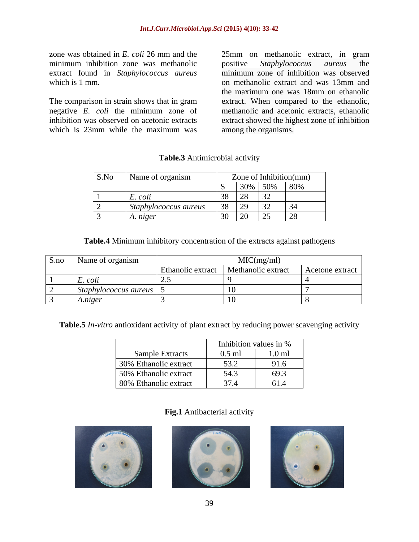zone was obtained in *E. coli* 26 mm and the 25mm on methanolic extract, in gram minimum inhibition zone was methanolic positive Staphylococcus aureus the extract found in *Staphylococcus aureus*

The comparison in strain shows that in gram<br>negative  $E$ . *coli* the minimum zone of which is 23mm while the maximum was among the organisms.

which is 1 mm.  $\blacksquare$  on methanolic extract and was 13mm and negative *E. coli* the minimum zone of methanolic and acetonic extracts, ethanolic inhibition was observed on acetonic extracts extract showed the highest zone of inhibition positive *Staphylococcus aureus* the minimum zone of inhibition was observed the maximum one was 18mm on ethanolic extract. When compared to the ethanolic, among the organisms.

| S.No   Name of organism                       | Zone of Inhibition(mm)                                                                                         |
|-----------------------------------------------|----------------------------------------------------------------------------------------------------------------|
|                                               | $130\%$ 50\% 80\%                                                                                              |
| and the property of the control of<br>E. coll | $38 \mid 28$<br>$\angle$                                                                                       |
| Staphylococcus aureus                         |                                                                                                                |
| A. niger                                      | $\begin{array}{ c c c c c } \hline 30 & 20 & 25 \ \hline \end{array}$<br>$\sim$ $\sim$<br>$\sim$ $\sim$ $\sim$ |

## **Table.3** Antimicrobial activity

**Table.4** Minimum inhibitory concentration of the extracts against pathogens

| S.no Name of organism  | MIC(mg/ml)                                               |  |
|------------------------|----------------------------------------------------------|--|
|                        | Ethanolic extract   Methanolic extract   Acetone extract |  |
| $L. \text{}\ncou$      |                                                          |  |
| Staphylococcus aureus. |                                                          |  |
| A.niger                |                                                          |  |

**Table.5** *In-vitro* antioxidant activity of plant extract by reducing power scavenging activity

|                        | Inhibition values in % |                         |
|------------------------|------------------------|-------------------------|
| <b>Sample Extracts</b> | $0.5$ ml               | $1.0$ ml                |
| 30% Ethanolic extract  | 53.2                   | 91.6                    |
| 50% Ethanolic extract  | 54.3                   | 69.3                    |
| 80% Ethanolic extract  | 37.4                   | 61 <sub>1</sub><br>01.4 |

## **Fig.1** Antibacterial activity





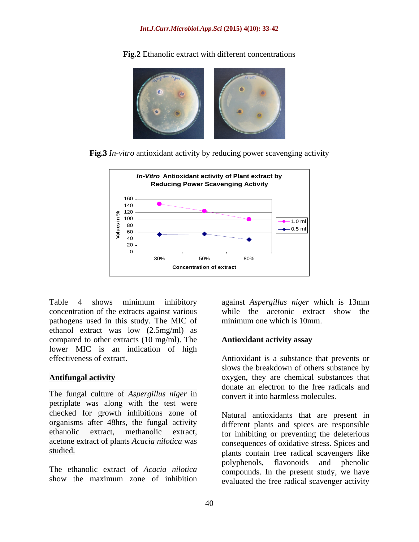

**Fig.2** Ethanolic extract with different concentrations

**Fig.3** *In-vitro* antioxidant activity by reducing power scavenging activity



Table 4 shows minimum inhibitory against *Aspergillus niger* which is 13mm concentration of the extracts against various pathogens used in this study. The MIC of ethanol extract was low (2.5mg/ml) as compared to other extracts (10 mg/ml). The lower MIC is an indication of high

The fungal culture of *Aspergillus niger* in petriplate was along with the test were checked for growth inhibitions zone of organisms after 48hrs, the fungal activity acetone extract of plants *Acacia nilotica* was

while the acetonic extract show the minimum one which is 10mm.

## **Antioxidant activity assay**

effectiveness of extract. Antioxidant is a substance that prevents or Antifungal activity **Antifungal activity Antifungal activity Antifungal activity Antifungal substances** that slows the breakdown of others substance by donate an electron to the free radicals and convert it into harmless molecules.

ethanolic extract, methanolic extract, for inhibiting or preventing the deleterious studied. plants contain free radical scavengers like The ethanolic extract of *Acacia nilotica* compounds. In the present study, we have show the maximum zone of inhibition evaluated the free radical scavenger activity Natural antioxidants that are present in different plants and spices are responsible consequences of oxidative stress. Spices and polyphenols, flavonoids and phenolic evaluated the free radical scavenger activity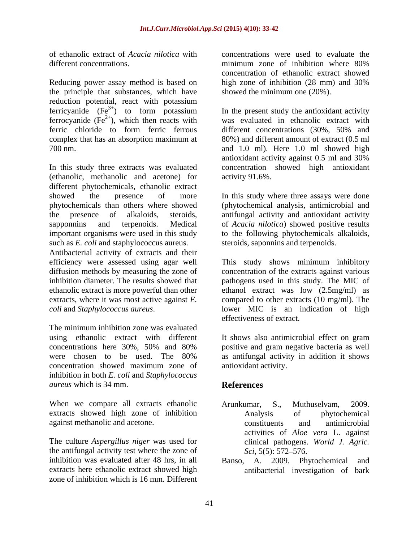of ethanolic extract of *Acacia nilotica* with concentrations were used to evaluate the different concentrations. The same minimum zone of inhibition where 80%

Reducing power assay method is based on high zone of inhibition (28 mm) and 30% the principle that substances, which have reduction potential, react with potassium ferricyanide  $(Fe^{3+})$  to form potassium ferrocyanide  $(Fe^{2+})$ , which then reacts with<br>ferric chloride to form ferric ferrous

In this study three extracts was evaluated concentration showed high antioxidant (ethanolic, methanolic and acetone) for different phytochemicals, ethanolic extract showed the presence of more In this study where three assays were done phytochemicals than others where showed (phytochemical analysis, antimicrobial and the presence of alkaloids, steroids, antifungal activity and antioxidant activity sapponnins and terpenoids. Medical of *Acacia nilotica*) showed positive results important organisms were used in this study to the following phytochemicals alkaloids, such as *E. coli* and staphylococcus aureus.

Antibacterial activity of extracts and their ethanolic extract is more powerful than other

using ethanolic extract with different It shows also antimicrobial effect on gram concentrations here 30%, 50% and 80% positive and gram negative bacteria as well concentrations here 30%, 50% and 80% were chosen to be used. The 80% as antifungal activity in addition it shows concentration showed maximum zone of inhibition in both *E. coli* and *Staphylococcus aureus* which is 34 mm.

When we compare all extracts ethanolic Arunkumar, S., Muthuselvam, 2009. extracts showed high zone of inhibition against methanolic and acetone.

The culture *Aspergillus niger* was used for the antifungal activity test where the zone of  $\frac{Sci}{S(5)}$ : 572–576. inhibition was evaluated after 48 hrs, in all Banso, A. 2009. Phytochemical and extracts here ethanolic extract showed high antibacterial investigation of bark zone of inhibition which is 16 mm. Different

minimum zone of inhibition where 80% concentration of ethanolic extract showed high zone of inhibition (28 mm) and 30% showed the minimum one (20%).

 $2^{2+}$ ), which then reacts with was evaluated in ethanolic extract with different concentrations  $(30\% \, 50\%$  and complex that has an absorption maximum at 80%) and different amount of extract (0.5 ml 700 nm. and 1.0 ml). Here 1.0 ml showed high In the present study the antioxidant activity different concentrations (30%, 50% and antioxidant activity against 0.5 ml and 30% activity 91.6%.

steroids, saponnins and terpenoids.

efficiency were assessed using agar well This study shows minimum inhibitory diffusion methods by measuring the zone of concentration of the extracts against various inhibition diameter. The results showed that pathogens used in this study. The MIC of extracts, where it was most active against *E*. compared to other extracts (10 mg/ml). The *coli* and *Staphylococcus aureus*.<br>The minimum inhibition zone was evaluated<br>The minimum inhibition zone was evaluated ethanol extract was low (2.5mg/ml) as lower MIC is an indication of high effectiveness of extract.

It shows also antimicrobial effect on gram positive and gram negative bacteria as well antioxidant activity.

# **References**

- Arunkumar, S., Muthuselvam, 2009. Analysis of phytochemical constituents and antimicrobial activities of *Aloe vera* L. against clinical pathogens. *World J. Agric. Sci,* 5(5): 572–576.
-